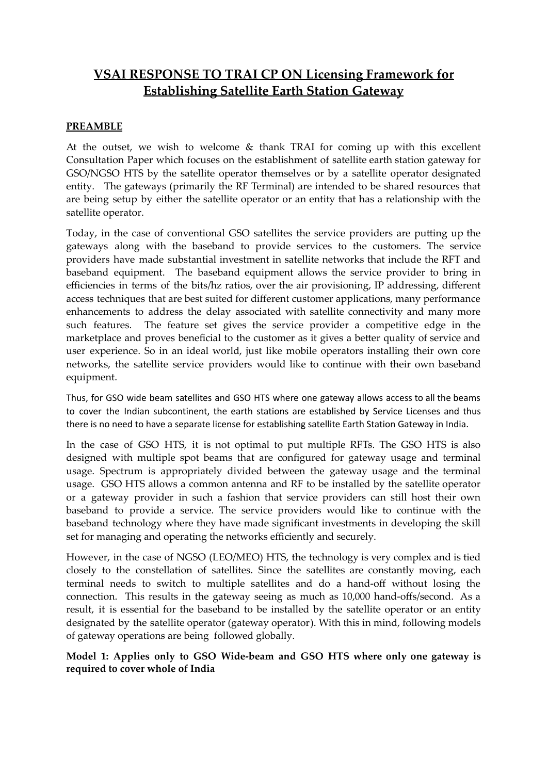# **VSAI RESPONSE TO TRAI CP ON Licensing Framework for Establishing Satellite Earth Station Gateway**

## **PREAMBLE**

At the outset, we wish to welcome  $\&$  thank TRAI for coming up with this excellent Consultation Paper which focuses on the establishment of satellite earth station gateway for GSO/NGSO HTS by the satellite operator themselves or by a satellite operator designated entity. The gateways (primarily the RF Terminal) are intended to be shared resources that are being setup by either the satellite operator or an entity that has a relationship with the satellite operator.

Today, in the case of conventional GSO satellites the service providers are putting up the gateways along with the baseband to provide services to the customers. The service providers have made substantial investment in satellite networks that include the RFT and baseband equipment. The baseband equipment allows the service provider to bring in efficiencies in terms of the bits/hz ratios, over the air provisioning, IP addressing, different access techniques that are best suited for different customer applications, many performance enhancements to address the delay associated with satellite connectivity and many more such features. The feature set gives the service provider a competitive edge in the marketplace and proves beneficial to the customer as it gives a better quality of service and user experience. So in an ideal world, just like mobile operators installing their own core networks, the satellite service providers would like to continue with their own baseband equipment.

Thus, for GSO wide beam satellites and GSO HTS where one gateway allows access to all the beams to cover the Indian subcontinent, the earth stations are established by Service Licenses and thus there is no need to have a separate license for establishing satellite Earth Station Gateway in India.

In the case of GSO HTS, it is not optimal to put multiple RFTs. The GSO HTS is also designed with multiple spot beams that are configured for gateway usage and terminal usage. Spectrum is appropriately divided between the gateway usage and the terminal usage. GSO HTS allows a common antenna and RF to be installed by the satellite operator or a gateway provider in such a fashion that service providers can still host their own baseband to provide a service. The service providers would like to continue with the baseband technology where they have made significant investments in developing the skill set for managing and operating the networks efficiently and securely.

However, in the case of NGSO (LEO/MEO) HTS, the technology is very complex and is tied closely to the constellation of satellites. Since the satellites are constantly moving, each terminal needs to switch to multiple satellites and do a hand-off without losing the connection. This results in the gateway seeing as much as 10,000 hand-offs/second. As a result, it is essential for the baseband to be installed by the satellite operator or an entity designated by the satellite operator (gateway operator). With this in mind, following models of gateway operations are being followed globally.

**Model 1: Applies only to GSO Wide-beam and GSO HTS where only one gateway is required to cover whole of India**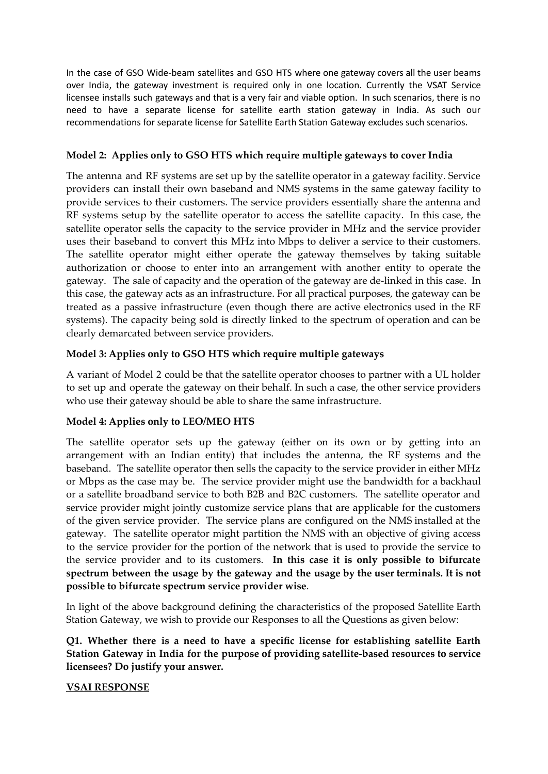In the case of GSO Wide-beam satellites and GSO HTS where one gateway covers all the user beams over India, the gateway investment is required only in one location. Currently the VSAT Service licensee installs such gateways and that is a very fair and viable option. In such scenarios, there is no need to have a separate license for satellite earth station gateway in India. As such our recommendations for separate license for Satellite Earth Station Gateway excludes such scenarios.

## **Model 2: Applies only to GSO HTS which require multiple gateways to cover India**

The antenna and RF systems are set up by the satellite operator in a gateway facility. Service providers can install their own baseband and NMS systems in the same gateway facility to provide services to their customers. The service providers essentially share the antenna and RF systems setup by the satellite operator to access the satellite capacity. In this case, the satellite operator sells the capacity to the service provider in MHz and the service provider uses their baseband to convert this MHz into Mbps to deliver a service to their customers. The satellite operator might either operate the gateway themselves by taking suitable authorization or choose to enter into an arrangement with another entity to operate the gateway. The sale of capacity and the operation of the gateway are de-linked in this case. In this case, the gateway acts as an infrastructure. For all practical purposes, the gateway can be treated as a passive infrastructure (even though there are active electronics used in the RF systems). The capacity being sold is directly linked to the spectrum of operation and can be clearly demarcated between service providers.

## **Model 3: Applies only to GSO HTS which require multiple gateways**

A variant of Model 2 could be that the satellite operator chooses to partner with a UL holder to set up and operate the gateway on their behalf. In such a case, the other service providers who use their gateway should be able to share the same infrastructure.

# **Model 4: Applies only to LEO/MEO HTS**

The satellite operator sets up the gateway (either on its own or by getting into an arrangement with an Indian entity) that includes the antenna, the RF systems and the baseband. The satellite operator then sells the capacity to the service provider in either MHz or Mbps as the case may be. The service provider might use the bandwidth for a backhaul or a satellite broadband service to both B2B and B2C customers. The satellite operator and service provider might jointly customize service plans that are applicable for the customers of the given service provider. The service plans are configured on the NMS installed at the gateway. The satellite operator might partition the NMS with an objective of giving access to the service provider for the portion of the network that is used to provide the service to the service provider and to its customers. **In this case it is only possible to bifurcate spectrum between the usage by the gateway and the usage by the user terminals. It is not possible to bifurcate spectrum service provider wise**.

In light of the above background defining the characteristics of the proposed Satellite Earth Station Gateway, we wish to provide our Responses to all the Questions as given below:

**Q1. Whether there is a need to have a specific license for establishing satellite Earth Station Gateway in India for the purpose of providing satellite-based resources to service licensees? Do justify your answer.**

#### **VSAI RESPONSE**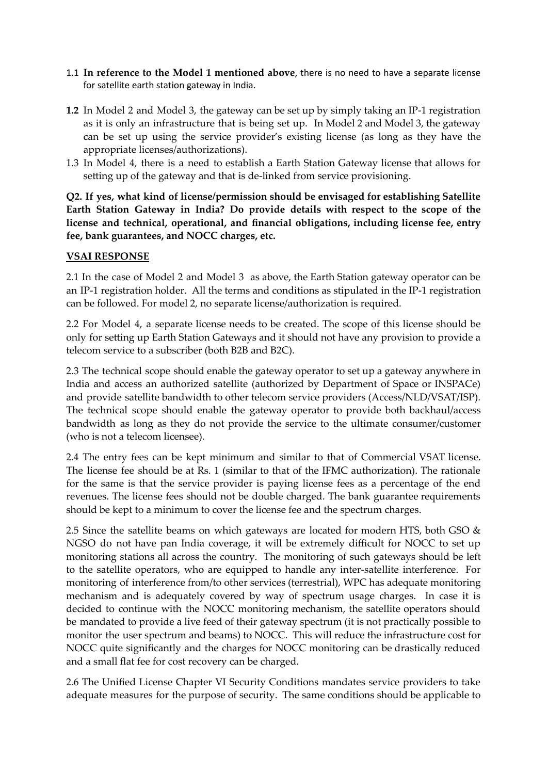- 1.1 **In reference to the Model 1 mentioned above**, there is no need to have a separate license for satellite earth station gateway in India.
- **1.2** In Model 2 and Model 3, the gateway can be set up by simply taking an IP-1 registration as it is only an infrastructure that is being set up. In Model 2 and Model 3, the gateway can be set up using the service provider's existing license (as long as they have the appropriate licenses/authorizations).
- 1.3 In Model 4, there is a need to establish a Earth Station Gateway license that allows for setting up of the gateway and that is de-linked from service provisioning.

**Q2. If yes, what kind of license/permission should be envisaged for establishing Satellite Earth Station Gateway in India? Do provide details with respect to the scope of the license and technical, operational, and financial obligations, including license fee, entry fee, bank guarantees, and NOCC charges, etc.**

#### **VSAI RESPONSE**

2.1 In the case of Model 2 and Model 3 as above, the Earth Station gateway operator can be an IP-1 registration holder. All the terms and conditions as stipulated in the IP-1 registration can be followed. For model 2, no separate license/authorization is required.

2.2 For Model 4, a separate license needs to be created. The scope of this license should be only for setting up Earth Station Gateways and it should not have any provision to provide a telecom service to a subscriber (both B2B and B2C).

2.3 The technical scope should enable the gateway operator to set up a gateway anywhere in India and access an authorized satellite (authorized by Department of Space or INSPACe) and provide satellite bandwidth to other telecom service providers (Access/NLD/VSAT/ISP). The technical scope should enable the gateway operator to provide both backhaul/access bandwidth as long as they do not provide the service to the ultimate consumer/customer (who is not a telecom licensee).

2.4 The entry fees can be kept minimum and similar to that of Commercial VSAT license. The license fee should be at Rs. 1 (similar to that of the IFMC authorization). The rationale for the same is that the service provider is paying license fees as a percentage of the end revenues. The license fees should not be double charged. The bank guarantee requirements should be kept to a minimum to cover the license fee and the spectrum charges.

2.5 Since the satellite beams on which gateways are located for modern HTS, both GSO  $\&$ NGSO do not have pan India coverage, it will be extremely difficult for NOCC to set up monitoring stations all across the country. The monitoring of such gateways should be left to the satellite operators, who are equipped to handle any inter-satellite interference. For monitoring of interference from/to other services (terrestrial), WPC has adequate monitoring mechanism and is adequately covered by way of spectrum usage charges. In case it is decided to continue with the NOCC monitoring mechanism, the satellite operators should be mandated to provide a live feed of their gateway spectrum (it is not practically possible to monitor the user spectrum and beams) to NOCC. This will reduce the infrastructure cost for NOCC quite significantly and the charges for NOCC monitoring can be drastically reduced and a small flat fee for cost recovery can be charged.

2.6 The Unified License Chapter VI Security Conditions mandates service providers to take adequate measures for the purpose of security. The same conditions should be applicable to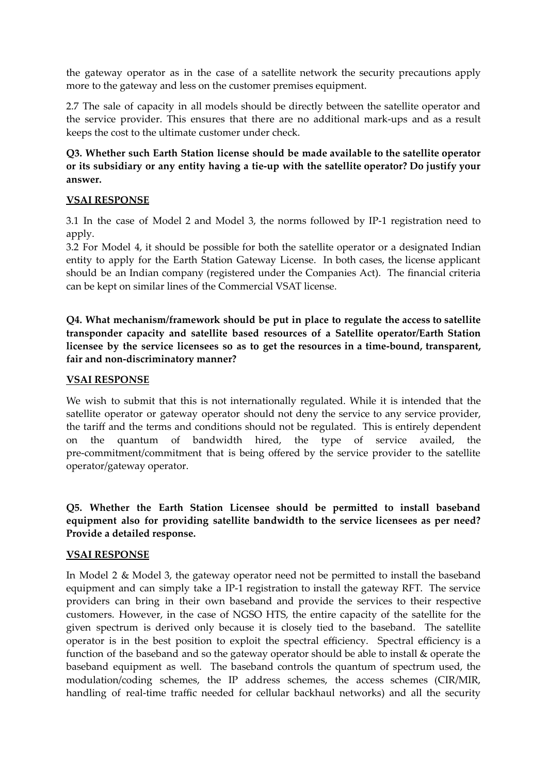the gateway operator as in the case of a satellite network the security precautions apply more to the gateway and less on the customer premises equipment.

2.7 The sale of capacity in all models should be directly between the satellite operator and the service provider. This ensures that there are no additional mark-ups and as a result keeps the cost to the ultimate customer under check.

**Q3. Whether such Earth Station license should be made available to the satellite operator or its subsidiary or any entity having a tie-up with the satellite operator? Do justify your answer.**

## **VSAI RESPONSE**

3.1 In the case of Model 2 and Model 3, the norms followed by IP-1 registration need to apply.

3.2 For Model 4, it should be possible for both the satellite operator or a designated Indian entity to apply for the Earth Station Gateway License. In both cases, the license applicant should be an Indian company (registered under the Companies Act). The financial criteria can be kept on similar lines of the Commercial VSAT license.

**Q4. What mechanism/framework should be put in place to regulate the access to satellite transponder capacity and satellite based resources of a Satellite operator/Earth Station licensee by the service licensees so as to get the resources in a time-bound, transparent, fair and non-discriminatory manner?**

## **VSAI RESPONSE**

We wish to submit that this is not internationally regulated. While it is intended that the satellite operator or gateway operator should not deny the service to any service provider, the tariff and the terms and conditions should not be regulated. This is entirely dependent on the quantum of bandwidth hired, the type of service availed, the pre-commitment/commitment that is being offered by the service provider to the satellite operator/gateway operator.

**Q5. Whether the Earth Station Licensee should be permitted to install baseband equipment also for providing satellite bandwidth to the service licensees as per need? Provide a detailed response.**

#### **VSAI RESPONSE**

In Model 2 & Model 3, the gateway operator need not be permitted to install the baseband equipment and can simply take a IP-1 registration to install the gateway RFT. The service providers can bring in their own baseband and provide the services to their respective customers. However, in the case of NGSO HTS, the entire capacity of the satellite for the given spectrum is derived only because it is closely tied to the baseband. The satellite operator is in the best position to exploit the spectral efficiency. Spectral efficiency is a function of the baseband and so the gateway operator should be able to install & operate the baseband equipment as well. The baseband controls the quantum of spectrum used, the modulation/coding schemes, the IP address schemes, the access schemes (CIR/MIR, handling of real-time traffic needed for cellular backhaul networks) and all the security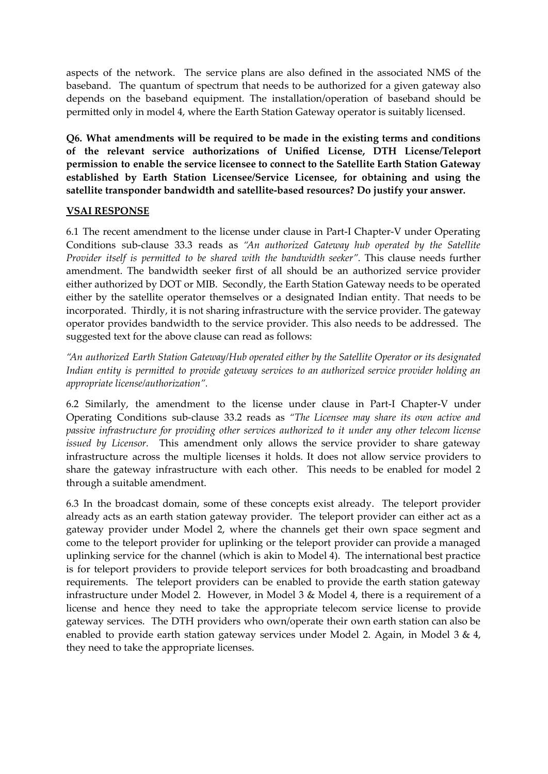aspects of the network. The service plans are also defined in the associated NMS of the baseband. The quantum of spectrum that needs to be authorized for a given gateway also depends on the baseband equipment. The installation/operation of baseband should be permitted only in model 4, where the Earth Station Gateway operator is suitably licensed.

**Q6. What amendments will be required to be made in the existing terms and conditions of the relevant service authorizations of Unified License, DTH License/Teleport permission to enable the service licensee to connect to the Satellite Earth Station Gateway established by Earth Station Licensee/Service Licensee, for obtaining and using the satellite transponder bandwidth and satellite-based resources? Do justify your answer.**

#### **VSAI RESPONSE**

6.1 The recent amendment to the license under clause in Part-I Chapter-V under Operating Conditions sub-clause 33.3 reads as *"An authorized Gateway hub operated by the Satellite Provider itself is permitted to be shared with the bandwidth seeker".* This clause needs further amendment. The bandwidth seeker first of all should be an authorized service provider either authorized by DOT or MIB. Secondly, the Earth Station Gateway needs to be operated either by the satellite operator themselves or a designated Indian entity. That needs to be incorporated. Thirdly, it is not sharing infrastructure with the service provider. The gateway operator provides bandwidth to the service provider. This also needs to be addressed. The suggested text for the above clause can read as follows:

*"An authorized Earth Station Gateway/Hub operated either by the Satellite Operator or its designated Indian entity is permitted to provide gateway services to an authorized service provider holding an appropriate license/authorization".*

6.2 Similarly, the amendment to the license under clause in Part-I Chapter-V under Operating Conditions sub-clause 33.2 reads as *"The Licensee may share its own active and passive infrastructure for providing other services authorized to it under any other telecom license issued by Licensor.* This amendment only allows the service provider to share gateway infrastructure across the multiple licenses it holds. It does not allow service providers to share the gateway infrastructure with each other. This needs to be enabled for model 2 through a suitable amendment.

6.3 In the broadcast domain, some of these concepts exist already. The teleport provider already acts as an earth station gateway provider. The teleport provider can either act as a gateway provider under Model 2, where the channels get their own space segment and come to the teleport provider for uplinking or the teleport provider can provide a managed uplinking service for the channel (which is akin to Model 4). The international best practice is for teleport providers to provide teleport services for both broadcasting and broadband requirements. The teleport providers can be enabled to provide the earth station gateway infrastructure under Model 2. However, in Model 3 & Model 4, there is a requirement of a license and hence they need to take the appropriate telecom service license to provide gateway services. The DTH providers who own/operate their own earth station can also be enabled to provide earth station gateway services under Model 2. Again, in Model 3 & 4, they need to take the appropriate licenses.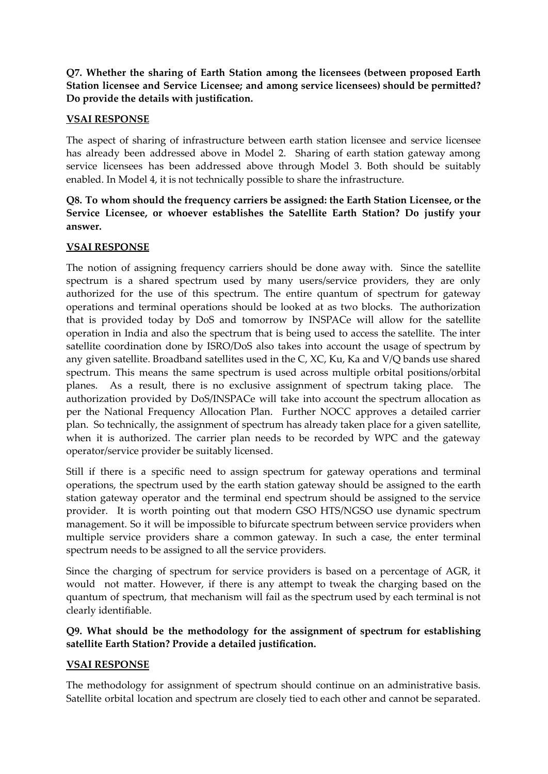**Q7. Whether the sharing of Earth Station among the licensees (between proposed Earth Station licensee and Service Licensee; and among service licensees) should be permitted? Do provide the details with justification.**

## **VSAI RESPONSE**

The aspect of sharing of infrastructure between earth station licensee and service licensee has already been addressed above in Model 2. Sharing of earth station gateway among service licensees has been addressed above through Model 3. Both should be suitably enabled. In Model 4, it is not technically possible to share the infrastructure.

# **Q8. To whom should the frequency carriers be assigned: the Earth Station Licensee, or the Service Licensee, or whoever establishes the Satellite Earth Station? Do justify your answer.**

# **VSAI RESPONSE**

The notion of assigning frequency carriers should be done away with. Since the satellite spectrum is a shared spectrum used by many users/service providers, they are only authorized for the use of this spectrum. The entire quantum of spectrum for gateway operations and terminal operations should be looked at as two blocks. The authorization that is provided today by DoS and tomorrow by INSPACe will allow for the satellite operation in India and also the spectrum that is being used to access the satellite. The inter satellite coordination done by ISRO/DoS also takes into account the usage of spectrum by any given satellite. Broadband satellites used in the C, XC, Ku, Ka and V/Q bands use shared spectrum. This means the same spectrum is used across multiple orbital positions/orbital planes. As a result, there is no exclusive assignment of spectrum taking place. The authorization provided by DoS/INSPACe will take into account the spectrum allocation as per the National Frequency Allocation Plan. Further NOCC approves a detailed carrier plan. So technically, the assignment of spectrum has already taken place for a given satellite, when it is authorized. The carrier plan needs to be recorded by WPC and the gateway operator/service provider be suitably licensed.

Still if there is a specific need to assign spectrum for gateway operations and terminal operations, the spectrum used by the earth station gateway should be assigned to the earth station gateway operator and the terminal end spectrum should be assigned to the service provider. It is worth pointing out that modern GSO HTS/NGSO use dynamic spectrum management. So it will be impossible to bifurcate spectrum between service providers when multiple service providers share a common gateway. In such a case, the enter terminal spectrum needs to be assigned to all the service providers.

Since the charging of spectrum for service providers is based on a percentage of AGR, it would not matter. However, if there is any attempt to tweak the charging based on the quantum of spectrum, that mechanism will fail as the spectrum used by each terminal is not clearly identifiable.

# **Q9. What should be the methodology for the assignment of spectrum for establishing satellite Earth Station? Provide a detailed justification.**

#### **VSAI RESPONSE**

The methodology for assignment of spectrum should continue on an administrative basis. Satellite orbital location and spectrum are closely tied to each other and cannot be separated.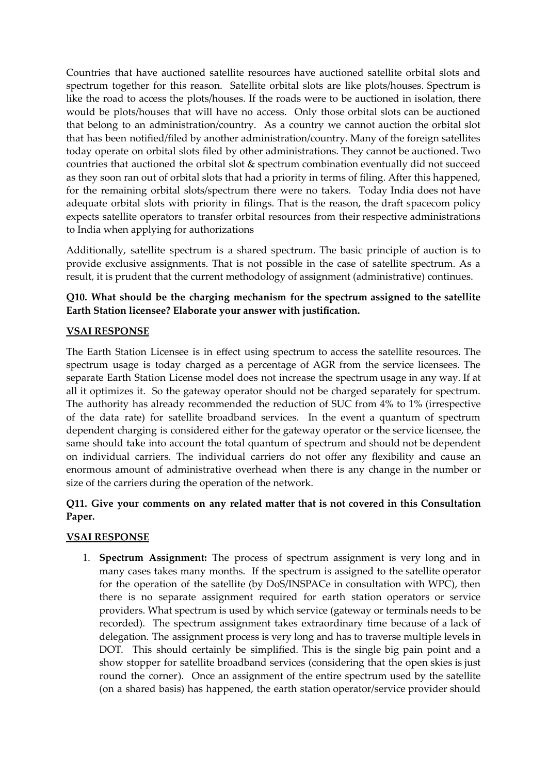Countries that have auctioned satellite resources have auctioned satellite orbital slots and spectrum together for this reason. Satellite orbital slots are like plots/houses. Spectrum is like the road to access the plots/houses. If the roads were to be auctioned in isolation, there would be plots/houses that will have no access. Only those orbital slots can be auctioned that belong to an administration/country. As a country we cannot auction the orbital slot that has been notified/filed by another administration/country. Many of the foreign satellites today operate on orbital slots filed by other administrations. They cannot be auctioned. Two countries that auctioned the orbital slot & spectrum combination eventually did not succeed as they soon ran out of orbital slots that had a priority in terms of filing. After this happened, for the remaining orbital slots/spectrum there were no takers. Today India does not have adequate orbital slots with priority in filings. That is the reason, the draft spacecom policy expects satellite operators to transfer orbital resources from their respective administrations to India when applying for authorizations

Additionally, satellite spectrum is a shared spectrum. The basic principle of auction is to provide exclusive assignments. That is not possible in the case of satellite spectrum. As a result, it is prudent that the current methodology of assignment (administrative) continues.

# **Q10. What should be the charging mechanism for the spectrum assigned to the satellite Earth Station licensee? Elaborate your answer with justification.**

# **VSAI RESPONSE**

The Earth Station Licensee is in effect using spectrum to access the satellite resources. The spectrum usage is today charged as a percentage of AGR from the service licensees. The separate Earth Station License model does not increase the spectrum usage in any way. If at all it optimizes it. So the gateway operator should not be charged separately for spectrum. The authority has already recommended the reduction of SUC from 4% to 1% (irrespective of the data rate) for satellite broadband services. In the event a quantum of spectrum dependent charging is considered either for the gateway operator or the service licensee, the same should take into account the total quantum of spectrum and should not be dependent on individual carriers. The individual carriers do not offer any flexibility and cause an enormous amount of administrative overhead when there is any change in the number or size of the carriers during the operation of the network.

# **Q11. Give your comments on any related matter that is not covered in this Consultation Paper.**

# **VSAI RESPONSE**

1. **Spectrum Assignment:** The process of spectrum assignment is very long and in many cases takes many months. If the spectrum is assigned to the satellite operator for the operation of the satellite (by DoS/INSPACe in consultation with WPC), then there is no separate assignment required for earth station operators or service providers. What spectrum is used by which service (gateway or terminals needs to be recorded). The spectrum assignment takes extraordinary time because of a lack of delegation. The assignment process is very long and has to traverse multiple levels in DOT. This should certainly be simplified. This is the single big pain point and a show stopper for satellite broadband services (considering that the open skies is just round the corner). Once an assignment of the entire spectrum used by the satellite (on a shared basis) has happened, the earth station operator/service provider should